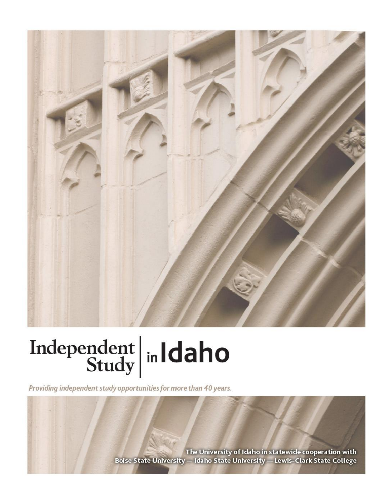

# Independent  $\left|\frac{\text{ind}}{\text{Study}}\right|$  in Idaho

Providing independent study opportunities for more than 40 years.

The University of Idaho in statewide cooperation with Boise State University - Idaho State University - Lewis-Clark State College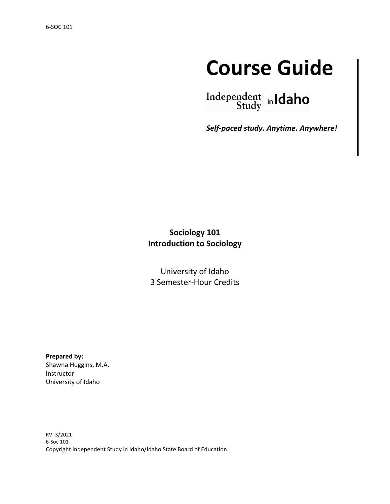## **Course Guide**

Independent  $\left|\frac{\text{independent}}{\text{Study}}\right|$  in **Idaho** 

*Self-paced study. Anytime. Anywhere!*

#### **Sociology 101 Introduction to Sociology**

University of Idaho 3 Semester-Hour Credits

**Prepared by:** Shawna Huggins, M.A. Instructor University of Idaho

RV: 3/2021 6-Soc 101 Copyright Independent Study in Idaho/Idaho State Board of Education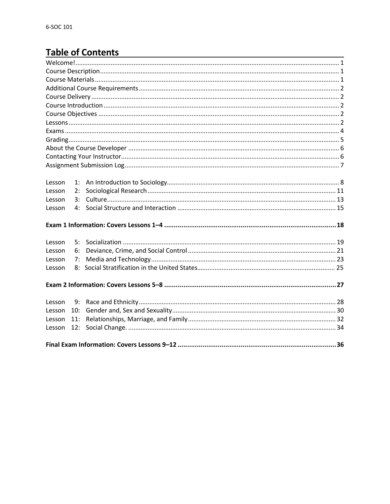### **Table of Contents**

| Lesson | 1:  |  |  |  |  |  |  |
|--------|-----|--|--|--|--|--|--|
| Lesson | 2:  |  |  |  |  |  |  |
| Lesson | 3:  |  |  |  |  |  |  |
| Lesson | 4:  |  |  |  |  |  |  |
|        |     |  |  |  |  |  |  |
| Lesson | 5:  |  |  |  |  |  |  |
| Lesson | 6:  |  |  |  |  |  |  |
| Lesson | 7:  |  |  |  |  |  |  |
| Lesson | 8:  |  |  |  |  |  |  |
|        |     |  |  |  |  |  |  |
| Lesson | 9:  |  |  |  |  |  |  |
| Lesson | 10: |  |  |  |  |  |  |
| Lesson | 11: |  |  |  |  |  |  |
| Lesson | 12: |  |  |  |  |  |  |
|        |     |  |  |  |  |  |  |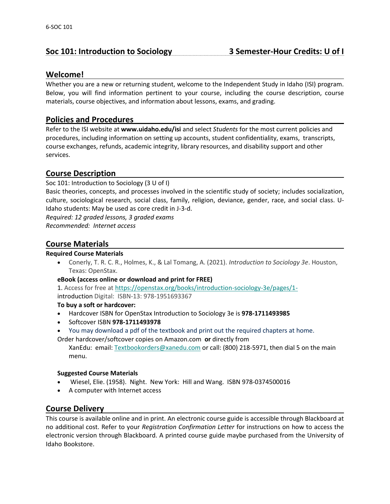#### **Soc 101: Introduction to Sociology 3 Semester-Hour Credits: U of I**

#### **Welcome!**

Whether you are a new or returning student, welcome to the Independent Study in Idaho (ISI) program. Below, you will find information pertinent to your course, including the course description, course materials, course objectives, and information about lessons, exams, and grading.

#### **Policies and Procedures \_\_\_\_\_\_\_\_\_\_\_\_\_\_\_\_\_\_\_\_\_\_\_\_\_\_\_\_\_\_\_\_\_\_\_\_\_\_\_\_\_\_\_\_\_\_**

Refer to the ISI website at **www.uidaho.edu/isi** and select *Students* for the most current policies and procedures, including information on setting up accounts, student confidentiality, exams, transcripts, course exchanges, refunds, academic integrity, library resources, and disability support and other services.

#### **Course Description**

Soc 101: Introduction to Sociology (3 U of I)

Basic theories, concepts, and processes involved in the scientific study of society; includes socialization, culture, sociological research, social class, family, religion, deviance, gender, race, and social class. U-Idaho students: May be used as core credit in J-3-d.

*Required: 12 graded lessons, 3 graded exams*

*Recommended: Internet access*

#### **Course Materials**

#### **Required Course Materials**

• Conerly, T. R. C. R., Holmes, K., & Lal Tomang, A. (2021). *Introduction to Sociology 3e*. Houston, Texas: OpenStax.

#### **eBook (access online or download and print for FREE)**

1. Access for free a[t https://openstax.org/books/introduction-sociology-3e/pages/1](https://openstax.org/books/introduction-sociology-3e/pages/1-introduction)  introduction Digital: ISBN-13: 978-1951693367

#### **To buy a soft or hardcover:**

- Hardcover ISBN for OpenStax Introduction to Sociology 3e is **978-1711493985**
- Softcover ISBN **978-1711493978**
- You may download a pdf of the textbook and print out the required chapters at home.
- Order hardcover/softcover copies on Amazon.com **or** directly from

XanEdu: email: [Textbookorders@xanedu.com](mailto:Textbookorders@xanedu.com) or call: (800) 218-5971, then dial 5 on the main menu.

#### **Suggested Course Materials**

- Wiesel, Elie. (1958). Night. New York: Hill and Wang. ISBN 978-0374500016
- A computer with Internet access

#### **Course Delivery**

This course is available online and in print. An electronic course guide is accessible through Blackboard at no additional cost. Refer to your *Registration Confirmation Letter* for instructions on how to access the electronic version through Blackboard. A printed course guide maybe purchased from the University of Idaho Bookstore.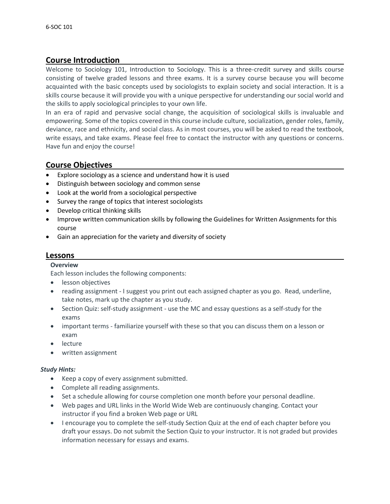#### **Course Introduction**

Welcome to Sociology 101, Introduction to Sociology. This is a three-credit survey and skills course consisting of twelve graded lessons and three exams. It is a survey course because you will become acquainted with the basic concepts used by sociologists to explain society and social interaction. It is a skills course because it will provide you with a unique perspective for understanding our social world and the skills to apply sociological principles to your own life.

In an era of rapid and pervasive social change, the acquisition of sociological skills is invaluable and empowering. Some of the topics covered in this course include culture, socialization, gender roles, family, deviance, race and ethnicity, and social class. As in most courses, you will be asked to read the textbook, write essays, and take exams. Please feel free to contact the instructor with any questions or concerns. Have fun and enjoy the course!

#### **Course Objectives**

- Explore sociology as a science and understand how it is used
- Distinguish between sociology and common sense
- Look at the world from a sociological perspective
- Survey the range of topics that interest sociologists
- Develop critical thinking skills
- Improve written communication skills by following the Guidelines for Written Assignments for this course
- Gain an appreciation for the variety and diversity of society

#### **Lessons**

#### **Overview**

Each lesson includes the following components:

- lesson objectives
- reading assignment I suggest you print out each assigned chapter as you go. Read, underline, take notes, mark up the chapter as you study.
- Section Quiz: self-study assignment use the MC and essay questions as a self-study for the exams
- important terms familiarize yourself with these so that you can discuss them on a lesson or exam
- lecture
- written assignment

#### *Study Hints:*

- Keep a copy of every assignment submitted.
- Complete all reading assignments.
- Set a schedule allowing for course completion one month before your personal deadline.
- Web pages and URL links in the World Wide Web are continuously changing. Contact your instructor if you find a broken Web page or URL
- I encourage you to complete the self-study Section Quiz at the end of each chapter before you draft your essays. Do not submit the Section Quiz to your instructor. It is not graded but provides information necessary for essays and exams.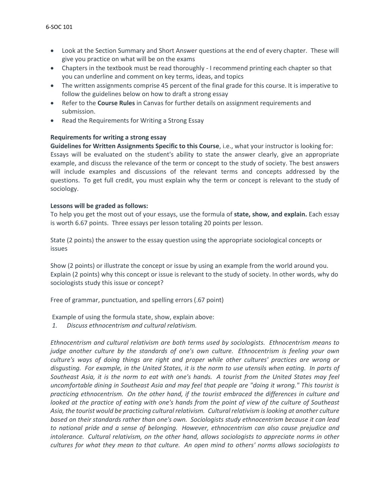- Look at the Section Summary and Short Answer questions at the end of every chapter. These will give you practice on what will be on the exams
- Chapters in the textbook must be read thoroughly I recommend printing each chapter so that you can underline and comment on key terms, ideas, and topics
- The written assignments comprise 45 percent of the final grade for this course. It is imperative to follow the guidelines below on how to draft a strong essay
- Refer to the **Course Rules** in Canvas for further details on assignment requirements and submission.
- Read the Requirements for Writing a Strong Essay

#### **Requirements for writing a strong essay**

**Guidelines for Written Assignments Specific to this Course**, i.e., what your instructor is looking for: Essays will be evaluated on the student's ability to state the answer clearly, give an appropriate example, and discuss the relevance of the term or concept to the study of society. The best answers will include examples and discussions of the relevant terms and concepts addressed by the questions. To get full credit, you must explain why the term or concept is relevant to the study of sociology.

#### **Lessons will be graded as follows:**

To help you get the most out of your essays, use the formula of **state, show, and explain.** Each essay is worth 6.67 points. Three essays per lesson totaling 20 points per lesson.

State (2 points) the answer to the essay question using the appropriate sociological concepts or issues

Show (2 points) or illustrate the concept or issue by using an example from the world around you. Explain (2 points) why this concept or issue is relevant to the study of society. In other words, why do sociologists study this issue or concept?

Free of grammar, punctuation, and spelling errors (.67 point)

Example of using the formula state, show, explain above:

*1. Discuss ethnocentrism and cultural relativism.*

*Ethnocentrism and cultural relativism are both terms used by sociologists. Ethnocentrism means to judge another culture by the standards of one's own culture. Ethnocentrism is feeling your own culture's ways of doing things are right and proper while other cultures' practices are wrong or disgusting. For example, in the United States, it is the norm to use utensils when eating. In parts of Southeast Asia, it is the norm to eat with one's hands. A tourist from the United States may feel uncomfortable dining in Southeast Asia and may feel that people are "doing it wrong." This tourist is practicing ethnocentrism. On the other hand, if the tourist embraced the differences in culture and looked at the practice of eating with one's hands from the point of view of the culture of Southeast Asia, the tourist would be practicing cultural relativism. Cultural relativism is looking at another culture based on their standards rather than one's own. Sociologists study ethnocentrism because it can lead to national pride and a sense of belonging. However, ethnocentrism can also cause prejudice and intolerance. Cultural relativism, on the other hand, allows sociologists to appreciate norms in other cultures for what they mean to that culture. An open mind to others' norms allows sociologists to*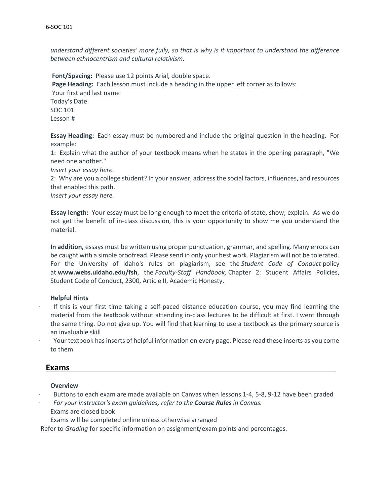*understand different societies' more fully, so that is why is it important to understand the difference between ethnocentrism and cultural relativism.*

**Font/Spacing:** Please use 12 points Arial, double space. **Page Heading:** Each lesson must include a heading in the upper left corner as follows: Your first and last name Today's Date SOC 101 Lesson #

**Essay Heading:** Each essay must be numbered and include the original question in the heading. For example:

1: Explain what the author of your textbook means when he states in the opening paragraph, "We need one another."

*Insert your essay here.*

2: Why are you a college student? In your answer, address the social factors, influences, and resources that enabled this path.

*Insert your essay here.*

**Essay length:** Your essay must be long enough to meet the criteria of state, show, explain. As we do not get the benefit of in-class discussion, this is your opportunity to show me you understand the material.

**In addition,** essays must be written using proper punctuation, grammar, and spelling. Many errors can be caught with a simple proofread. Please send in only your best work. Plagiarism will not be tolerated. For the University of Idaho's rules on plagiarism, see the *Student Code of Conduct* policy at **www.webs.uidaho.edu/fsh**, the *Faculty-Staff Handbook,* Chapter 2: Student Affairs Policies, Student Code of Conduct, 2300, Article II, Academic Honesty.

#### **Helpful Hints**

- · If this is your first time taking a self-paced distance education course, you may find learning the material from the textbook without attending in-class lectures to be difficult at first. I went through the same thing. Do not give up. You will find that learning to use a textbook as the primary source is an invaluable skill
- · Your textbook has inserts of helpful information on every page. Please read these inserts as you come to them

#### **Exams**

#### **Overview**

- · Buttons to each exam are made available on Canvas when lessons 1-4, 5-8, 9-12 have been graded
- · *For your instructor's exam guidelines, refer to the Course Rules in Canvas.* Exams are closed book
	- Exams will be completed online unless otherwise arranged

Refer to *Grading* for specific information on assignment/exam points and percentages.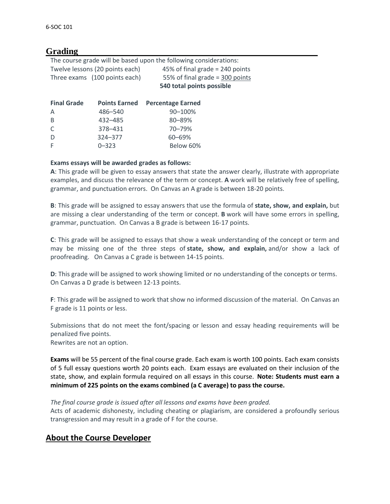#### **Grading**

| The course grade will be based upon the following considerations: |                                 |                                 |  |  |  |  |  |  |  |  |
|-------------------------------------------------------------------|---------------------------------|---------------------------------|--|--|--|--|--|--|--|--|
|                                                                   | Twelve lessons (20 points each) | 45% of final grade = 240 points |  |  |  |  |  |  |  |  |
|                                                                   | Three exams (100 points each)   | 55% of final grade = 300 points |  |  |  |  |  |  |  |  |
|                                                                   |                                 | 540 total points possible       |  |  |  |  |  |  |  |  |
| <b>Final Grade</b>                                                | <b>Points Earned</b>            | <b>Percentage Earned</b>        |  |  |  |  |  |  |  |  |
| A                                                                 | 486-540                         | 90-100%                         |  |  |  |  |  |  |  |  |
| B                                                                 | 432-485                         | 80-89%                          |  |  |  |  |  |  |  |  |
| C                                                                 | 378-431                         | 70-79%                          |  |  |  |  |  |  |  |  |
| D                                                                 | 324-377                         | $60 - 69%$                      |  |  |  |  |  |  |  |  |
| F                                                                 | $0 - 323$                       | Below 60%                       |  |  |  |  |  |  |  |  |

#### **Exams essays will be awarded grades as follows:**

**A**: This grade will be given to essay answers that state the answer clearly, illustrate with appropriate examples, and discuss the relevance of the term or concept. **A** work will be relatively free of spelling, grammar, and punctuation errors. On Canvas an A grade is between 18-20 points.

**B**: This grade will be assigned to essay answers that use the formula of **state, show, and explain,** but are missing a clear understanding of the term or concept. **B** work will have some errors in spelling, grammar, punctuation. On Canvas a B grade is between 16-17 points.

**C**: This grade will be assigned to essays that show a weak understanding of the concept or term and may be missing one of the three steps of **state, show, and explain,** and/or show a lack of proofreading. On Canvas a C grade is between 14-15 points.

**D**: This grade will be assigned to work showing limited or no understanding of the concepts or terms. On Canvas a D grade is between 12-13 points.

**F**: This grade will be assigned to work that show no informed discussion of the material. On Canvas an F grade is 11 points or less.

Submissions that do not meet the font/spacing or lesson and essay heading requirements will be penalized five points.

Rewrites are not an option.

**Exams** will be 55 percent of the final course grade. Each exam is worth 100 points. Each exam consists of 5 full essay questions worth 20 points each. Exam essays are evaluated on their inclusion of the state, show, and explain formula required on all essays in this course. **Note: Students must earn a minimum of 225 points on the exams combined (a C average) to pass the course.**

#### *The final course grade is issued after all lessons and exams have been graded.*

Acts of academic dishonesty, including cheating or plagiarism, are considered a profoundly serious transgression and may result in a grade of F for the course.

#### **About the Course Developer**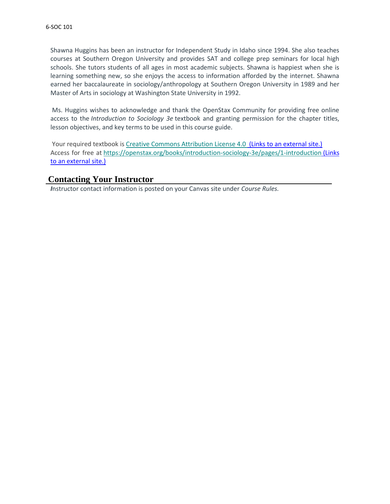Shawna Huggins has been an instructor for Independent Study in Idaho since 1994. She also teaches courses at Southern Oregon University and provides SAT and college prep seminars for local high schools. She tutors students of all ages in most academic subjects. Shawna is happiest when she is learning something new, so she enjoys the access to information afforded by the internet. Shawna earned her baccalaureate in sociology/anthropology at Southern Oregon University in 1989 and her Master of Arts in sociology at Washington State University in 1992.

Ms. Huggins wishes to acknowledge and thank the OpenStax Community for providing free online access to the *Introduction to Sociology 3e* textbook and granting permission for the chapter titles, lesson objectives, and key terms to be used in this course guide.

Your required textbook is [Creative Commons Attribution License 4.0](http://creativecommons.org/licenses/by/4.0/) (Links to an external site.) Access for free at <https://openstax.org/books/introduction-sociology-3e/pages/1-introduction> (Links to an [external](https://openstax.org/books/introduction-sociology-3e/pages/1-introduction) site.)

#### **Contacting Your Instructor**

*I*nstructor contact information is posted on your Canvas site under *Course Rules.*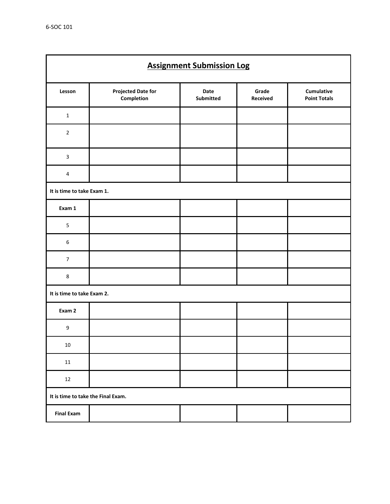| <b>Assignment Submission Log</b>   |                                         |                   |                   |                                   |  |  |  |
|------------------------------------|-----------------------------------------|-------------------|-------------------|-----------------------------------|--|--|--|
| Lesson                             | <b>Projected Date for</b><br>Completion | Date<br>Submitted | Grade<br>Received | Cumulative<br><b>Point Totals</b> |  |  |  |
| $\mathbf 1$                        |                                         |                   |                   |                                   |  |  |  |
| $\mathbf 2$                        |                                         |                   |                   |                                   |  |  |  |
| $\mathbf{3}$                       |                                         |                   |                   |                                   |  |  |  |
| $\pmb{4}$                          |                                         |                   |                   |                                   |  |  |  |
| It is time to take Exam 1.         |                                         |                   |                   |                                   |  |  |  |
| Exam 1                             |                                         |                   |                   |                                   |  |  |  |
| $\overline{\mathbf{5}}$            |                                         |                   |                   |                                   |  |  |  |
| $\boldsymbol{6}$                   |                                         |                   |                   |                                   |  |  |  |
| $\overline{7}$                     |                                         |                   |                   |                                   |  |  |  |
| 8                                  |                                         |                   |                   |                                   |  |  |  |
| It is time to take Exam 2.         |                                         |                   |                   |                                   |  |  |  |
| Exam 2                             |                                         |                   |                   |                                   |  |  |  |
| $\boldsymbol{9}$                   |                                         |                   |                   |                                   |  |  |  |
| $10\,$                             |                                         |                   |                   |                                   |  |  |  |
| 11                                 |                                         |                   |                   |                                   |  |  |  |
| 12                                 |                                         |                   |                   |                                   |  |  |  |
| It is time to take the Final Exam. |                                         |                   |                   |                                   |  |  |  |
| <b>Final Exam</b>                  |                                         |                   |                   |                                   |  |  |  |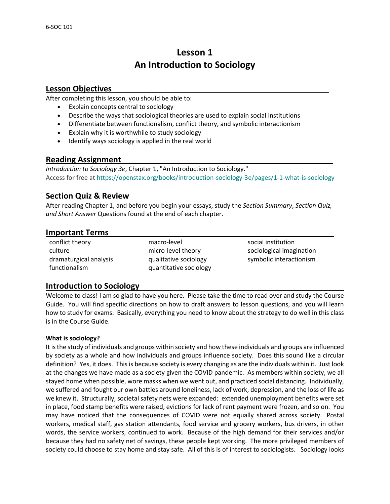#### **Lesson 1 An Introduction to Sociology**

#### **Lesson Objectives**

After completing this lesson, you should be able to:

- Explain concepts central to sociology
- Describe the ways that sociological theories are used to explain social institutions
- Differentiate between functionalism, conflict theory, and symbolic interactionism
- Explain why it is worthwhile to study sociology
- Identify ways sociology is applied in the real world

#### **Reading Assignment**

*Introduction to Sociology 3e*, Chapter 1, "An Introduction to Sociology." Access for free at<https://openstax.org/books/introduction-sociology-3e/pages/1-1-what-is-sociology>

#### **Section Quiz & Review**

After reading Chapter 1, and before you begin your essays, study the *Section Summary*, *Section Quiz, and Short Answer* Questions found at the end of each chapter.

#### **Important Terms**

conflict theory macro-level social institution functionalism quantitative sociology

culture micro-level theory sociological imagination dramaturgical analysis equalitative sociology examples interactionism

#### **Introduction to Sociology**

Welcome to class! I am so glad to have you here. Please take the time to read over and study the Course Guide. You will find specific directions on how to draft answers to lesson questions, and you will learn how to study for exams. Basically, everything you need to know about the strategy to do well in this class is in the Course Guide.

#### **What is sociology?**

It is the study of individuals and groups within society and how these individuals and groups are influenced by society as a whole and how individuals and groups influence society. Does this sound like a circular definition? Yes, it does. This is because society is every changing as are the individuals within it. Just look at the changes we have made as a society given the COVID pandemic. As members within society, we all stayed home when possible, wore masks when we went out, and practiced social distancing. Individually, we suffered and fought our own battles around loneliness, lack of work, depression, and the loss of life as we knew it. Structurally, societal safety nets were expanded: extended unemployment benefits were set in place, food stamp benefits were raised, evictions for lack of rent payment were frozen, and so on. You may have noticed that the consequences of COVID were not equally shared across society. Postal workers, medical staff, gas station attendants, food service and grocery workers, bus drivers, in other words, the service workers, continued to work. Because of the high demand for their services and/or because they had no safety net of savings, these people kept working. The more privileged members of society could choose to stay home and stay safe. All of this is of interest to sociologists. Sociology looks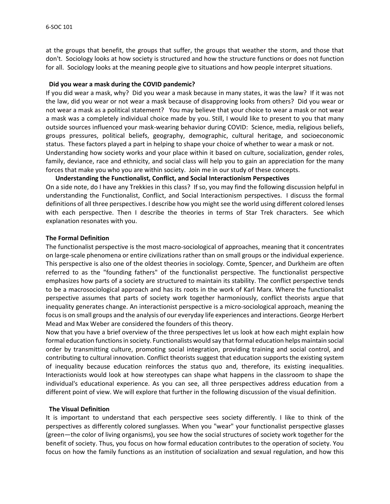at the groups that benefit, the groups that suffer, the groups that weather the storm, and those that don't. Sociology looks at how society is structured and how the structure functions or does not function for all. Sociology looks at the meaning people give to situations and how people interpret situations.

#### **Did you wear a mask during the COVID pandemic?**

If you did wear a mask, why? Did you wear a mask because in many states, it was the law? If it was not the law, did you wear or not wear a mask because of disapproving looks from others? Did you wear or not wear a mask as a political statement? You may believe that your choice to wear a mask or not wear a mask was a completely individual choice made by you. Still, I would like to present to you that many outside sources influenced your mask-wearing behavior during COVID: Science, media, religious beliefs, groups pressures, political beliefs, geography, demographic, cultural heritage, and socioeconomic status. These factors played a part in helping to shape your choice of whether to wear a mask or not. Understanding how society works and your place within it based on culture, socialization, gender roles, family, deviance, race and ethnicity, and social class will help you to gain an appreciation for the many forces that make you who you are within society. Join me in our study of these concepts.

#### **Understanding the Functionalist, Conflict, and Social Interactionism Perspectives**

On a side note, do I have any Trekkies in this class? If so, you may find the following discussion helpful in understanding the Functionalist, Conflict, and Social Interactionism perspectives. I discuss the formal definitions of all three perspectives. I describe how you might see the world using different colored lenses with each perspective. Then I describe the theories in terms of Star Trek characters. See which explanation resonates with you.

#### **The Formal Definition**

The functionalist perspective is the most macro-sociological of approaches, meaning that it concentrates on large-scale phenomena or entire civilizations rather than on small groups or the individual experience. This perspective is also one of the oldest theories in sociology. Comte, Spencer, and Durkheim are often referred to as the "founding fathers" of the functionalist perspective. The functionalist perspective emphasizes how parts of a society are structured to maintain its stability. The conflict perspective tends to be a macrosociological approach and has its roots in the work of Karl Marx. Where the functionalist perspective assumes that parts of society work together harmoniously, conflict theorists argue that inequality generates change. An interactionist perspective is a micro-sociological approach, meaning the focus is on small groups and the analysis of our everyday life experiences and interactions. George Herbert Mead and Max Weber are considered the founders of this theory.

Now that you have a brief overview of the three perspectives let us look at how each might explain how formal education functions in society. Functionalists would say that formal education helps maintain social order by transmitting culture, promoting social integration, providing training and social control, and contributing to cultural innovation. Conflict theorists suggest that education supports the existing system of inequality because education reinforces the status quo and, therefore, its existing inequalities. Interactionists would look at how stereotypes can shape what happens in the classroom to shape the individual's educational experience. As you can see, all three perspectives address education from a different point of view. We will explore that further in the following discussion of the visual definition.

#### **The Visual Definition**

It is important to understand that each perspective sees society differently. I like to think of the perspectives as differently colored sunglasses. When you "wear" your functionalist perspective glasses (green—the color of living organisms), you see how the social structures of society work together for the benefit of society. Thus, you focus on how formal education contributes to the operation of society. You focus on how the family functions as an institution of socialization and sexual regulation, and how this